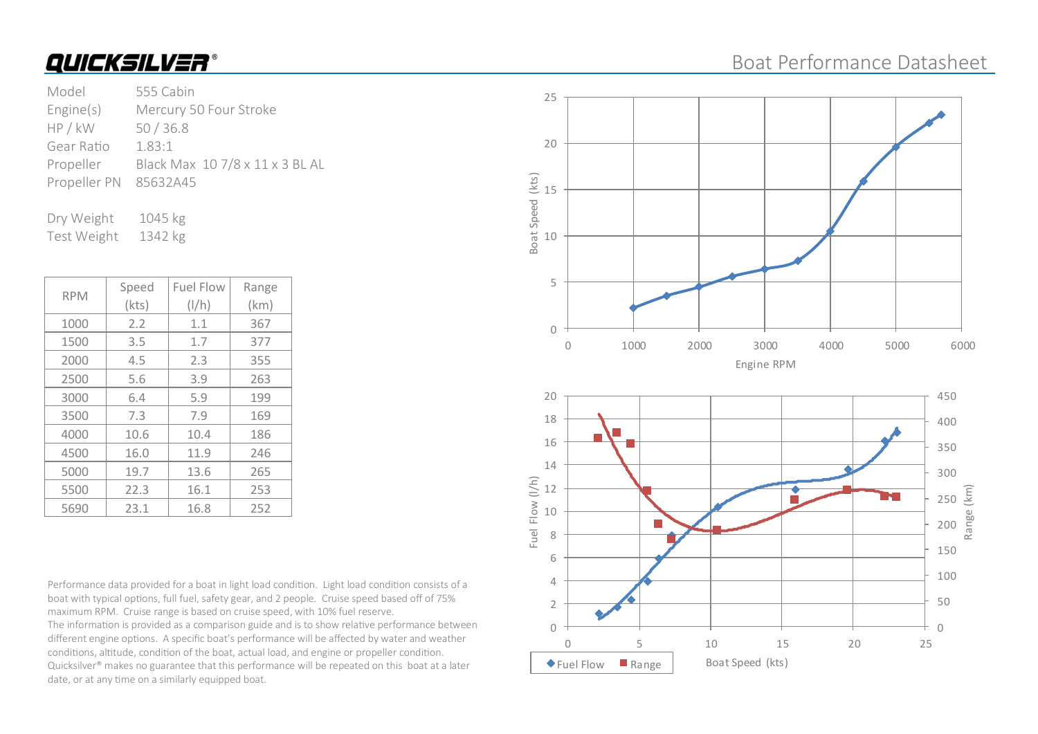### Boat Performance Datasheet

| Model                 | 555 Cabin                       |
|-----------------------|---------------------------------|
| Engine(s)             | Mercury 50 Four Stroke          |
| HP / kW               | 50/36.8                         |
| Gear Ratio            | 1.83:1                          |
| Propeller             | Black Max 10 7/8 x 11 x 3 BL AL |
| Propeller PN 85632A45 |                                 |
|                       |                                 |

Dry Weight 1045 kg Test Weight 1342 kg

| <b>RPM</b> | Speed | <b>Fuel Flow</b> | Range |
|------------|-------|------------------|-------|
|            | (kts) | $\frac{1}{h}$    | (km)  |
| 1000       | 2.2   | 1.1              | 367   |
| 1500       | 3.5   | 1.7              | 377   |
| 2000       | 4.5   | 2.3              | 355   |
| 2500       | 5.6   | 3.9              | 263   |
| 3000       | 6.4   | 5.9              | 199   |
| 3500       | 7.3   | 7.9              | 169   |
| 4000       | 10.6  | 10.4             | 186   |
| 4500       | 16.0  | 11.9             | 246   |
| 5000       | 19.7  | 13.6             | 265   |
| 5500       | 22.3  | 16.1             | 253   |
| 5690       | 23.1  | 16.8             | 252   |

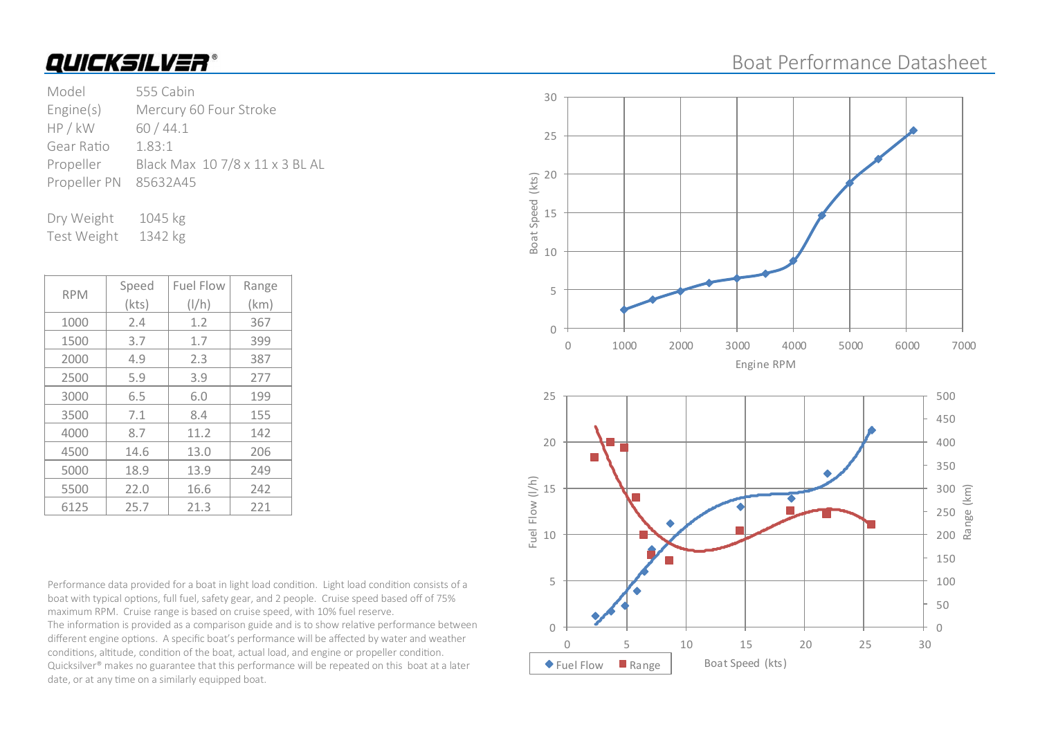### Boat Performance Datasheet

| Model        | 555 Cabin                       |
|--------------|---------------------------------|
| Engine(s)    | Mercury 60 Four Stroke          |
| HP / kW      | 60/44.1                         |
| Gear Ratio   | 1.83:1                          |
| Propeller    | Black Max 10 7/8 x 11 x 3 BL AL |
| Propeller PN | 85632A45                        |
|              |                                 |

Dry Weight 1045 kg Test Weight 1342 kg

| <b>RPM</b> | Speed | <b>Fuel Flow</b> | Range |
|------------|-------|------------------|-------|
|            | (kts) | $\frac{1}{h}$    | (km)  |
| 1000       | 2.4   | 1.2              | 367   |
| 1500       | 3.7   | 1.7              | 399   |
| 2000       | 4.9   | 2.3              | 387   |
| 2500       | 5.9   | 3.9              | 277   |
| 3000       | 6.5   | 6.0              | 199   |
| 3500       | 7.1   | 8.4              | 155   |
| 4000       | 8.7   | 11.2             | 142   |
| 4500       | 14.6  | 13.0             | 206   |
| 5000       | 18.9  | 13.9             | 249   |
| 5500       | 22.0  | 16.6             | 242   |
| 6125       | 25.7  | 21.3             | 221   |

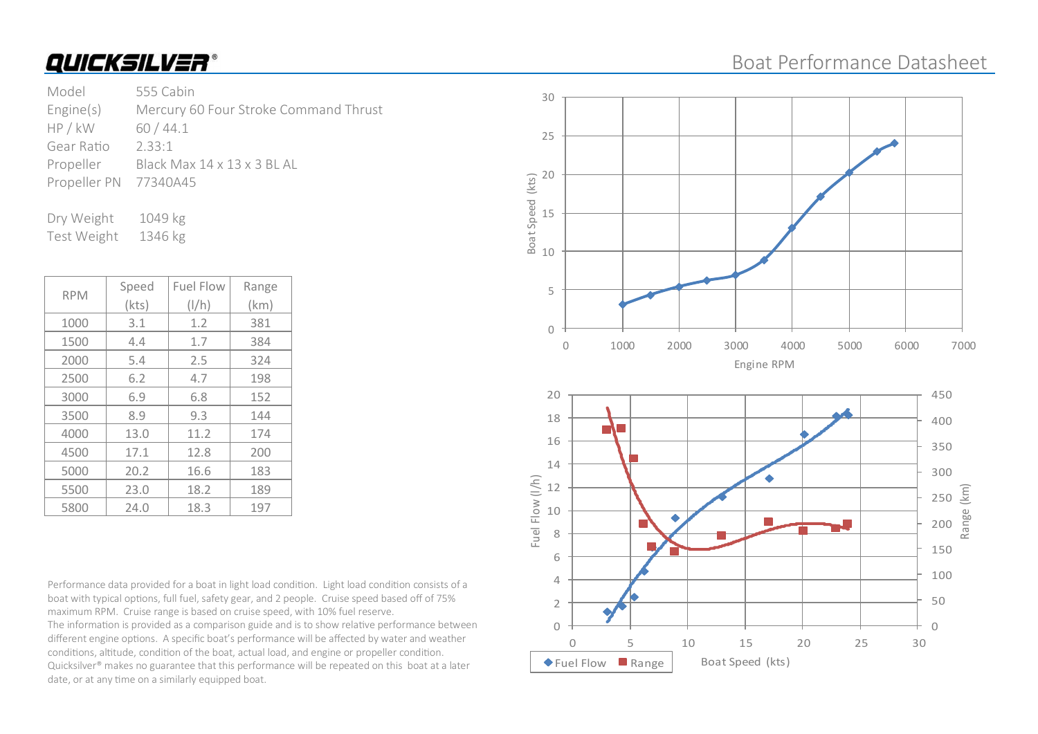### Boat Performance Datasheet

| Model                 | 555 Cabin                             |
|-----------------------|---------------------------------------|
| Engine(s)             | Mercury 60 Four Stroke Command Thrust |
| HP / kW               | 60/44.1                               |
| Gear Ratio            | 233.1                                 |
| Propeller             | Black Max 14 x 13 x 3 BL AL           |
| Propeller PN 77340A45 |                                       |
|                       |                                       |

Dry Weight 1049 kg Test Weight 1346 kg

| <b>RPM</b> | Speed | <b>Fuel Flow</b> | Range |
|------------|-------|------------------|-------|
|            | (kts) | $\frac{1}{h}$    | (km)  |
| 1000       | 3.1   | 1.2              | 381   |
| 1500       | 4.4   | 1.7              | 384   |
| 2000       | 5.4   | 2.5              | 324   |
| 2500       | 6.2   | 4.7              | 198   |
| 3000       | 6.9   | 6.8              | 152   |
| 3500       | 8.9   | 9.3              | 144   |
| 4000       | 13.0  | 11.2             | 174   |
| 4500       | 17.1  | 12.8             | 200   |
| 5000       | 20.2  | 16.6             | 183   |
| 5500       | 23.0  | 18.2             | 189   |
| 5800       | 24.0  | 18.3             | 197   |

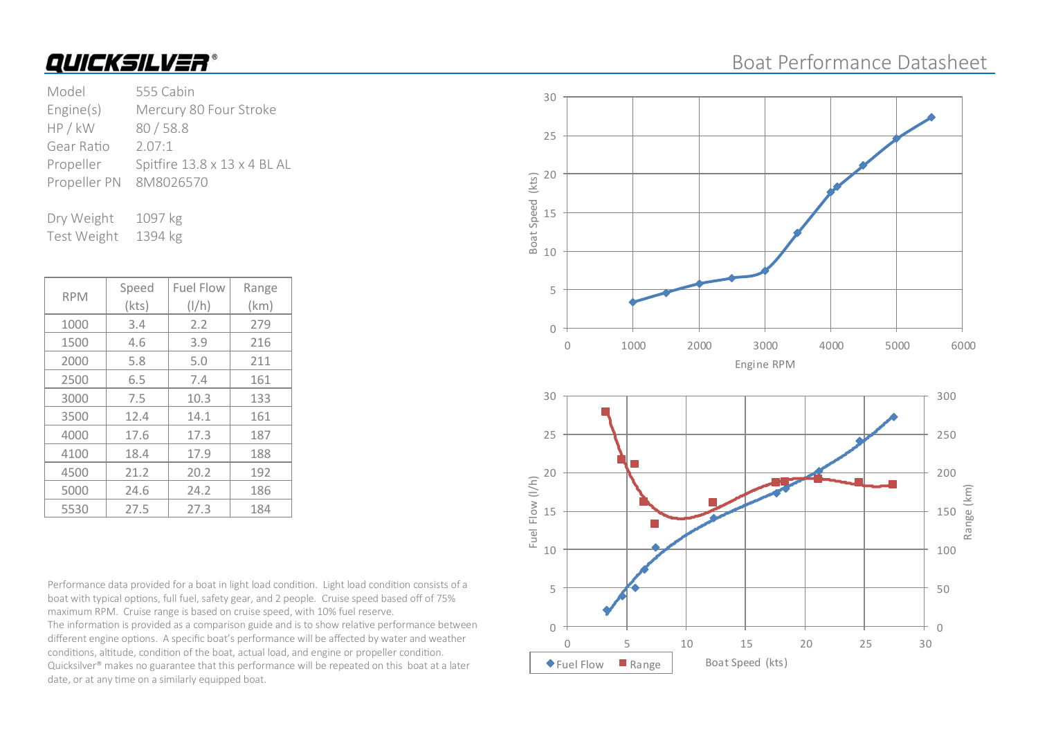### Boat Performance Datasheet

| Model        | 555 Cabin                    |
|--------------|------------------------------|
| Engine(s)    | Mercury 80 Four Stroke       |
| HP / kW      | 80/58.8                      |
| Gear Ratio   | 2.07:1                       |
| Propeller    | Spitfire 13.8 x 13 x 4 BL AL |
| Propeller PN | 8M8026570                    |
|              |                              |

Dry Weight 1097 kg Test Weight 1394 kg

| <b>RPM</b> | Speed | <b>Fuel Flow</b> | Range |
|------------|-------|------------------|-------|
|            | (kts) | $\frac{1}{h}$    | (km)  |
| 1000       | 3.4   | 2.2              | 279   |
| 1500       | 4.6   | 3.9              | 216   |
| 2000       | 5.8   | 5.0              | 211   |
| 2500       | 6.5   | 7.4              | 161   |
| 3000       | 7.5   | 10.3             | 133   |
| 3500       | 12.4  | 14.1             | 161   |
| 4000       | 17.6  | 17.3             | 187   |
| 4100       | 18.4  | 17.9             | 188   |
| 4500       | 21.2  | 20.2             | 192   |
| 5000       | 24.6  | 24.2             | 186   |
| 5530       | 27.5  | 27.3             | 184   |

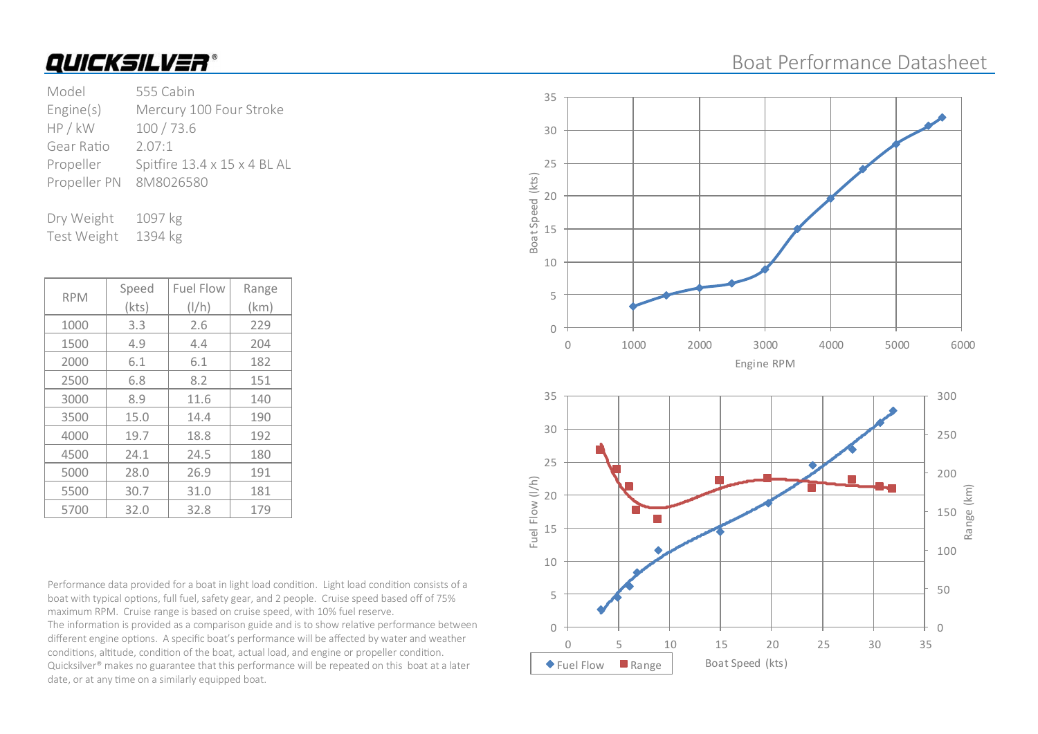### Boat Performance Datasheet

| Model        | 555 Cabin                    |
|--------------|------------------------------|
| Engine(s)    | Mercury 100 Four Stroke      |
| HP / kW      | 100/73.6                     |
| Gear Ratio   | 2.07:1                       |
| Propeller    | Spitfire 13.4 x 15 x 4 BL AL |
| Propeller PN | 8M8026580                    |
|              |                              |

Dry Weight 1097 kg Test Weight 1394 kg

| <b>RPM</b> | Speed | <b>Fuel Flow</b> | Range |
|------------|-------|------------------|-------|
|            | (kts) | $\frac{1}{h}$    | (km)  |
| 1000       | 3.3   | 2.6              | 229   |
| 1500       | 4.9   | 4.4              | 204   |
| 2000       | 6.1   | 6.1              | 182   |
| 2500       | 6.8   | 8.2              | 151   |
| 3000       | 8.9   | 11.6             | 140   |
| 3500       | 15.0  | 14.4             | 190   |
| 4000       | 19.7  | 18.8             | 192   |
| 4500       | 24.1  | 24.5             | 180   |
| 5000       | 28.0  | 26.9             | 191   |
| 5500       | 30.7  | 31.0             | 181   |
| 5700       | 32.0  | 32.8             | 179   |